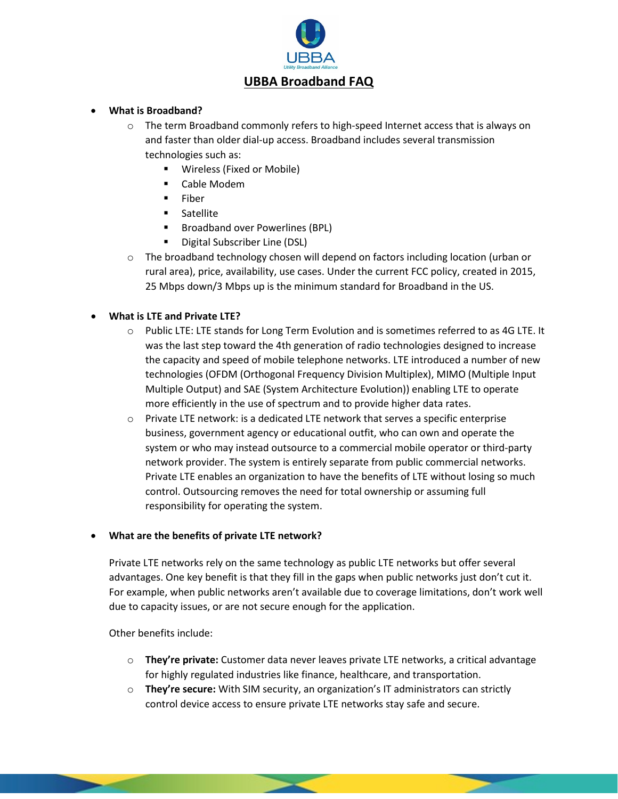

# **UBBA Broadband FAQ**

## • **What is Broadband?**

- o The term Broadband commonly refers to high-speed Internet access that is always on and faster than older dial-up access. Broadband includes several transmission technologies such as:
	- Wireless (Fixed or Mobile)
	- Cable Modem
	- $F$  Fiber
	- **Satellite**
	- **Broadband over Powerlines (BPL)**
	- Digital Subscriber Line (DSL)
- $\circ$  The broadband technology chosen will depend on factors including location (urban or rural area), price, availability, use cases. Under the current FCC policy, created in 2015, 25 Mbps down/3 Mbps up is the minimum standard for Broadband in the US.

## • **What is LTE and Private LTE?**

- o Public LTE: LTE stands for Long Term Evolution and is sometimes referred to as 4G LTE. It was the last step toward the 4th generation of radio technologies designed to increase the capacity and speed of mobile telephone networks. LTE introduced a number of new technologies (OFDM (Orthogonal Frequency Division Multiplex), MIMO (Multiple Input Multiple Output) and SAE (System Architecture Evolution)) enabling LTE to operate more efficiently in the use of spectrum and to provide higher data rates.
- $\circ$  Private LTE network: is a dedicated LTE network that serves a specific enterprise business, government agency or educational outfit, who can own and operate the system or who may instead outsource to a commercial mobile operator or third-party network provider. The system is entirely separate from public commercial networks. Private LTE enables an organization to have the benefits of LTE without losing so much control. Outsourcing removes the need for total ownership or assuming full responsibility for operating the system.

## • **What are the benefits of private LTE network?**

Private LTE networks rely on the same technology as public LTE networks but offer several advantages. One key benefit is that they fill in the gaps when public networks just don't cut it. For example, when public networks aren't available due to coverage limitations, don't work well due to capacity issues, or are not secure enough for the application.

Other benefits include:

- o **They're private:** Customer data never leaves private LTE networks, a critical advantage for highly regulated industries like finance, healthcare, and transportation.
- o **They're secure:** With SIM security, an organization's IT administrators can strictly control device access to ensure private LTE networks stay safe and secure.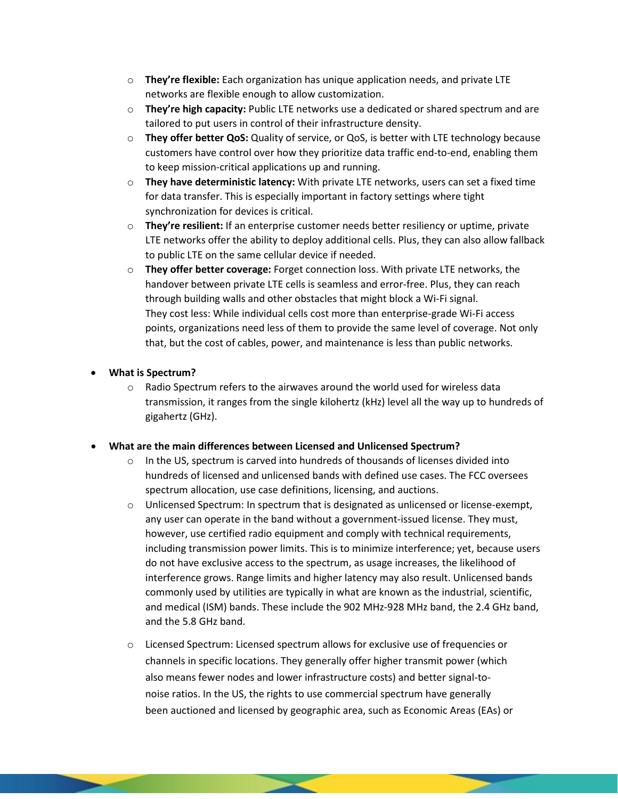- o **They're flexible:** Each organization has unique application needs, and private LTE networks are flexible enough to allow customization.
- o **They're high capacity:** Public LTE networks use a dedicated or shared spectrum and are tailored to put users in control of their infrastructure density.
- o **They offer better QoS:** Quality of service, or QoS, is better with LTE technology because customers have control over how they prioritize data traffic end-to-end, enabling them to keep mission-critical applications up and running.
- o **They have deterministic latency:** With private LTE networks, users can set a fixed time for data transfer. This is especially important in factory settings where tight synchronization for devices is critical.
- o **They're resilient:** If an enterprise customer needs better resiliency or uptime, private LTE networks offer the ability to deploy additional cells. Plus, they can also allow fallback to public LTE on the same cellular device if needed.
- o **They offer better coverage:** Forget connection loss. With private LTE networks, the handover between private LTE cells is seamless and error-free. Plus, they can reach through building walls and other obstacles that might block a Wi-Fi signal. They cost less: While individual cells cost more than enterprise-grade Wi-Fi access points, organizations need less of them to provide the same level of coverage. Not only that, but the cost of cables, power, and maintenance is less than public networks.
- **What is Spectrum?**
	- $\circ$  Radio Spectrum refers to the airwaves around the world used for wireless data transmission, it ranges from the single kilohertz (kHz) level all the way up to hundreds of gigahertz (GHz).
- **What are the main differences between Licensed and Unlicensed Spectrum?**
	- $\circ$  In the US, spectrum is carved into hundreds of thousands of licenses divided into hundreds of licensed and unlicensed bands with defined use cases. The FCC oversees spectrum allocation, use case definitions, licensing, and auctions.
	- o Unlicensed Spectrum: In spectrum that is designated as unlicensed or license-exempt, any user can operate in the band without a government-issued license. They must, however, use certified radio equipment and comply with technical requirements, including transmission power limits. This is to minimize interference; yet, because users do not have exclusive access to the spectrum, as usage increases, the likelihood of interference grows. Range limits and higher latency may also result. Unlicensed bands commonly used by utilities are typically in what are known as the industrial, scientific, and medical (ISM) bands. These include the 902 MHz-928 MHz band, the 2.4 GHz band, and the 5.8 GHz band.
	- o Licensed Spectrum: Licensed spectrum allows for exclusive use of frequencies or channels in specific locations. They generally offer higher transmit power (which also means fewer nodes and lower infrastructure costs) and better signal-tonoise ratios. In the US, the rights to use commercial spectrum have generally been auctioned and licensed by geographic area, such as Economic Areas (EAs) or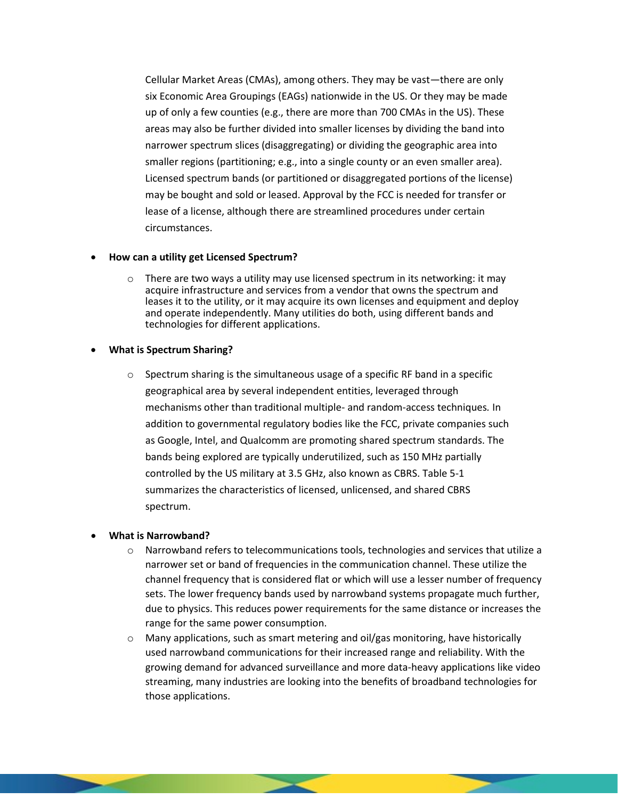Cellular Market Areas (CMAs), among others. They may be vast—there are only six Economic Area Groupings (EAGs) nationwide in the US. Or they may be made up of only a few counties (e.g., there are more than 700 CMAs in the US). These areas may also be further divided into smaller licenses by dividing the band into narrower spectrum slices (disaggregating) or dividing the geographic area into smaller regions (partitioning; e.g., into a single county or an even smaller area). Licensed spectrum bands (or partitioned or disaggregated portions of the license) may be bought and sold or leased. Approval by the FCC is needed for transfer or lease of a license, although there are streamlined procedures under certain circumstances.

#### • **How can a utility get Licensed Spectrum?**

 $\circ$  There are two ways a utility may use licensed spectrum in its networking: it may acquire infrastructure and services from a vendor that owns the spectrum and leases it to the utility, or it may acquire its own licenses and equipment and deploy and operate independently. Many utilities do both, using different bands and technologies for different applications.

#### • **What is Spectrum Sharing?**

 $\circ$  Spectrum sharing is the simultaneous usage of a specific RF band in a specific geographical area by several independent entities, leveraged through mechanisms other than traditional multiple- and random-access techniques*.* In addition to governmental regulatory bodies like the FCC, private companies such as Google, Intel, and Qualcomm are promoting shared spectrum standards. The bands being explored are typically underutilized, such as 150 MHz partially controlled by the US military at 3.5 GHz, also known as CBRS. Table 5-1 summarizes the characteristics of licensed, unlicensed, and shared CBRS spectrum.

## • **What is Narrowband?**

- $\circ$  Narrowband refers to telecommunications tools, technologies and services that utilize a narrower set or band of frequencies in the communication channel. These utilize the channel frequency that is considered flat or which will use a lesser number of frequency sets. The lower frequency bands used by narrowband systems propagate much further, due to physics. This reduces power requirements for the same distance or increases the range for the same power consumption.
- $\circ$  Many applications, such as smart metering and oil/gas monitoring, have historically used narrowband communications for their increased range and reliability. With the growing demand for advanced surveillance and more data-heavy applications like video streaming, many industries are looking into the benefits of broadband technologies for those applications.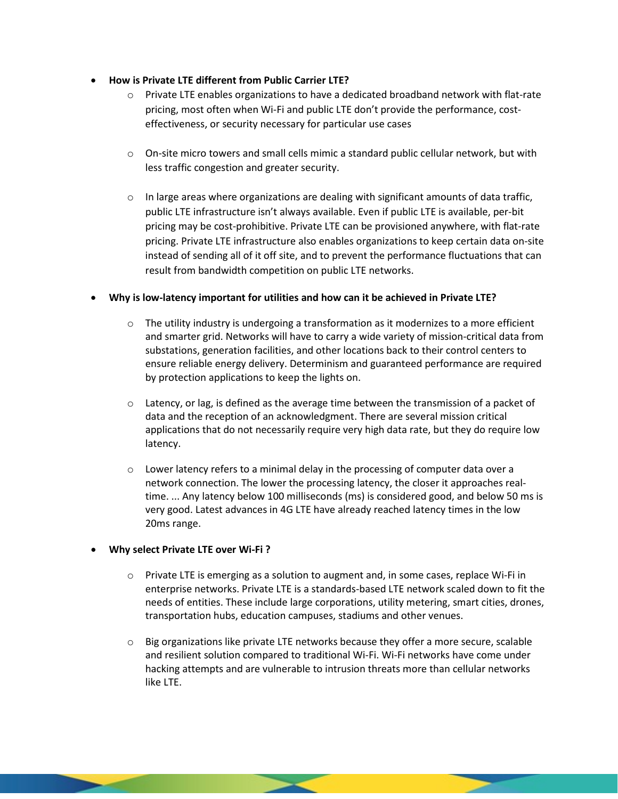## • **How is Private LTE different from Public Carrier LTE?**

- $\circ$  Private LTE enables organizations to have a dedicated broadband network with flat-rate pricing, most often when Wi-Fi and public LTE don't provide the performance, costeffectiveness, or security necessary for particular use cases
- $\circ$  On-site micro towers and small cells mimic a standard public cellular network, but with less traffic congestion and greater security.
- $\circ$  In large areas where organizations are dealing with significant amounts of data traffic, public LTE infrastructure isn't always available. Even if public LTE is available, per-bit pricing may be cost-prohibitive. Private LTE can be provisioned anywhere, with flat-rate pricing. Private LTE infrastructure also enables organizations to keep certain data on-site instead of sending all of it off site, and to prevent the performance fluctuations that can result from bandwidth competition on public LTE networks.

## • **Why is low-latency important for utilities and how can it be achieved in Private LTE?**

- $\circ$  The utility industry is undergoing a transformation as it modernizes to a more efficient and smarter grid. Networks will have to carry a wide variety of mission-critical data from substations, generation facilities, and other locations back to their control centers to ensure reliable energy delivery. Determinism and guaranteed performance are required by protection applications to keep the lights on.
- $\circ$  Latency, or lag, is defined as the average time between the transmission of a packet of data and the reception of an acknowledgment. There are several mission critical applications that do not necessarily require very high data rate, but they do require low latency.
- $\circ$  Lower latency refers to a minimal delay in the processing of computer data over a network connection. The lower the processing latency, the closer it approaches realtime. ... Any latency below 100 milliseconds (ms) is considered good, and below 50 ms is very good. Latest advances in 4G LTE have already reached latency times in the low 20ms range.

## • **Why select Private LTE over Wi-Fi ?**

- $\circ$  Private LTE is emerging as a solution to augment and, in some cases, replace Wi-Fi in enterprise networks. Private LTE is a standards-based LTE network scaled down to fit the needs of entities. These include large corporations, utility metering, smart cities, drones, transportation hubs, education campuses, stadiums and other venues.
- o Big organizations like private LTE networks because they offer a more secure, scalable and resilient solution compared to traditional Wi-Fi. Wi-Fi networks have come under hacking attempts and are vulnerable to intrusion threats more than cellular networks like LTE.